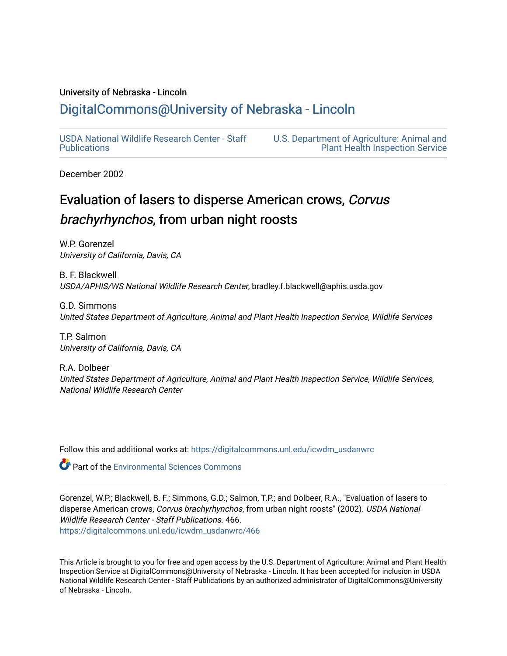## University of Nebraska - Lincoln

## [DigitalCommons@University of Nebraska - Lincoln](https://digitalcommons.unl.edu/)

[USDA National Wildlife Research Center - Staff](https://digitalcommons.unl.edu/icwdm_usdanwrc)  [Publications](https://digitalcommons.unl.edu/icwdm_usdanwrc) 

[U.S. Department of Agriculture: Animal and](https://digitalcommons.unl.edu/usdaaphis)  [Plant Health Inspection Service](https://digitalcommons.unl.edu/usdaaphis) 

December 2002

# Evaluation of lasers to disperse American crows, Corvus brachyrhynchos, from urban night roosts

W.P. Gorenzel University of California, Davis, CA

B. F. Blackwell USDA/APHIS/WS National Wildlife Research Center, bradley.f.blackwell@aphis.usda.gov

G.D. Simmons United States Department of Agriculture, Animal and Plant Health Inspection Service, Wildlife Services

T.P. Salmon University of California, Davis, CA

R.A. Dolbeer United States Department of Agriculture, Animal and Plant Health Inspection Service, Wildlife Services, National Wildlife Research Center

Follow this and additional works at: [https://digitalcommons.unl.edu/icwdm\\_usdanwrc](https://digitalcommons.unl.edu/icwdm_usdanwrc?utm_source=digitalcommons.unl.edu%2Ficwdm_usdanwrc%2F466&utm_medium=PDF&utm_campaign=PDFCoverPages)

**Part of the [Environmental Sciences Commons](http://network.bepress.com/hgg/discipline/167?utm_source=digitalcommons.unl.edu%2Ficwdm_usdanwrc%2F466&utm_medium=PDF&utm_campaign=PDFCoverPages)** 

Gorenzel, W.P.; Blackwell, B. F.; Simmons, G.D.; Salmon, T.P.; and Dolbeer, R.A., "Evaluation of lasers to disperse American crows, Corvus brachyrhynchos, from urban night roosts" (2002). USDA National Wildlife Research Center - Staff Publications. 466. [https://digitalcommons.unl.edu/icwdm\\_usdanwrc/466](https://digitalcommons.unl.edu/icwdm_usdanwrc/466?utm_source=digitalcommons.unl.edu%2Ficwdm_usdanwrc%2F466&utm_medium=PDF&utm_campaign=PDFCoverPages)

This Article is brought to you for free and open access by the U.S. Department of Agriculture: Animal and Plant Health Inspection Service at DigitalCommons@University of Nebraska - Lincoln. It has been accepted for inclusion in USDA National Wildlife Research Center - Staff Publications by an authorized administrator of DigitalCommons@University of Nebraska - Lincoln.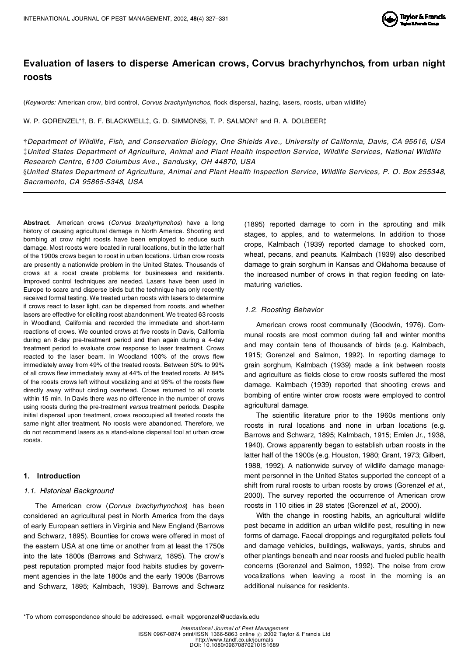

## **Evaluation of lasers to disperse American crows, Corvus brachyrhynchos, from urban night roosts**

(*Keywords:* American crow, bird control, *Corvus brachyrhynchos*, flock dispersal, hazing, lasers, roosts, urban wildlife)

W. P. GORENZEL\*†, B. F. BLACKWELL $\dagger$ , G. D. SIMMONS $\S$ , T. P. SALMON $\dagger$  and R. A. DOLBEER $\dagger$ 

†Department of Wildlife, Fish, and Conservation Biology, One Shields Ave., University of California, Davis, CA 95616, USA #United States Department of Agriculture, Animal and Plant Health Inspection Service, Wildlife Services, National Wildlife *Research Centre, 6100 Columbus Ave., Sandusky, OH 44870, USA*

§United States Department of Agriculture, Animal and Plant Health Inspection Service, Wildlife Services, P. O. Box 255348, *Sacramento, CA 95865-5348, USA*

**Abstract.** American crows (*Corvus brachyrhynchos*) have a long history of causing agricultural damage in North America. Shooting and bombing at crow night roosts have been employed to reduce such damage. Most roosts were located in rural locations, but in the latter half of the 1900s crows began to roost in urban locations. Urban crow roosts are presently a nationwide problem in the United States. Thousands of crows at a roost create problems for businesses and residents. Improved control techniques are needed. Lasers have been used in Europe to scare and disperse birds but the technique has only recently received formal testing. We treated urban roosts with lasers to determine if crows react to laser light, can be dispersed from roosts, and whether lasers are effective for eliciting roost abandonment. We treated 63 roosts in Woodland, California and recorded the immediate and short-term reactions of crows. We counted crows at five roosts in Davis, California during an 8-day pre-treatment period and then again during a 4-day treatment period to evaluate crow response to laser treatment. Crows reacted to the laser beam. In Woodland 100% of the crows flew immediately away from 49% of the treated roosts. Between 50% to 99% of all crows flew immediately away at 44% of the treated roosts. At 84% of the roosts crows left without vocalizing and at 95% of the roosts flew directly away without circling overhead. Crows returned to all roosts within 15 min. In Davis there was no difference in the number of crows using roosts during the pre-treatment *versus* treatment periods. Despite initial dispersal upon treatment, crows reoccupied all treated roosts the same night after treatment. No roosts were abandoned. Therefore, we do not recommend lasers as a stand-alone dispersal tool at urban crow roosts.

## **1. Introduction**

## *1.1. Historical Background*

The American crow (*Corvus brachyrhynchos*) has been considered an agricultural pest in North America from the days of early European settlers in Virginia and New England (Barrows and Schwarz, 1895). Bounties for crows were offered in most of the eastern USA at one time or another from at least the 1750s into the late 1800s (Barrows and Schwarz, 1895). The crow's pest reputation prompted major food habits studies by govern ment agencies in the late 1800s and the early 1900s (Barrows and Schwarz, 1895; Kalmbach, 1939). Barrows and Schwarz (1895) reported damage to corn in the sprouting and milk stages, to apples, and to watermelons. In addition to those crops, Kalmbach (1939) reported damage to shocked corn, wheat, pecans, and peanuts. Kalmbach (1939) also described damage to grain sorghum in Kansas and Oklahoma because of the increased number of crows in that region feeding on late maturing varieties.

## *1.2. Roosting Behavior*

American crows roost communally (Goodwin, 1976). Com munal roosts are most common during fall and winter months and may contain tens of thousands of birds (e.g. Kalmbach, 1915; Gorenzel and Salmon, 1992). In reporting damage to grain sorghum, Kalmbach (1939) made a link between roosts and agriculture as fields close to crow roosts suffered the most damage. Kalmbach (1939) reported that shooting crews and bombing of entire winter crow roosts were employed to control agricultural damage.

The scientific literature prior to the 1960s mentions only roosts in rural locations and none in urban locations (e.g. Barrows and Schwarz, 1895; Kalmbach, 1915; Emlen Jr., 1938, 1940). Crows apparently began to establish urban roosts in the latter half of the 1900s (e.g. Houston, 1980; Grant, 1973; Gilbert, 1988, 1992). A nationwide survey of wildlife damage manage ment personnel in the United States supported the concept of a shift from rural roosts to urban roosts by crows (Gorenzel *et al.*, 2000). The survey reported the occurrence of American crow roosts in 110 cities in 28 states (Gorenzel *et al.*, 2000).

With the change in roosting habits, an agricultural wildlife pest became in addition an urban wildlife pest, resulting in new forms of damage. Faecal droppings and regurgitated pellets foul and damage vehicles, buildings, walkways, yards, shrubs and other plantings beneath and near roosts and fueled public health concerns (Gorenzel and Salmon, 1992). The noise from crow vocalizations when leaving a roost in the morning is an additional nuisance for residents.

<sup>\*</sup>To whom correspondence should be addressed. e-mail: wpgorenzel@ucdavis.edu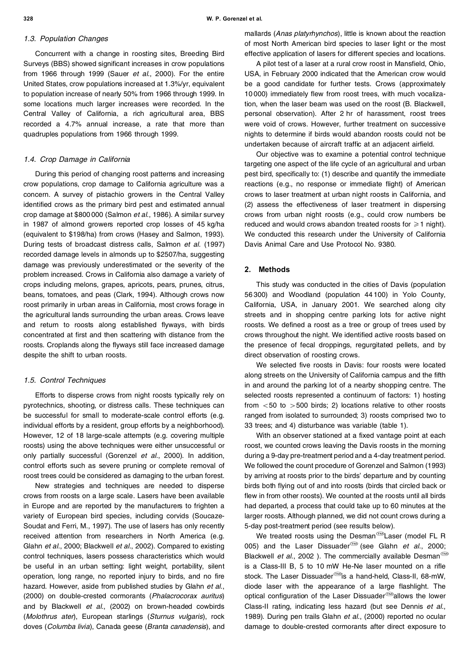#### *1.3. Population Changes*

Concurrent with a change in roosting sites, Breeding Bird Surveys (BBS) showed significant increases in crow populations from 1966 through 1999 (Sauer *et al.*, 2000). For the entire United States, crow populations increased at 1.3%/yr, equivalent to population increase of nearly 50% from 1966 through 1999. In some locations much larger increases were recorded. In the Central Valley of California, a rich agricultural area, BBS recorded a 4.7% annual increase, a rate that more than quadruples populations from 1966 through 1999.

#### *1.4. Crop Damage in California*

During this period of changing roost patterns and increasing crow populations, crop damage to California agriculture was a concern. A survey of pistachio growers in the Central Valley identified crows as the primary bird pest and estimated annual crop damage at \$800 000 (Salmon *et al.*, 1986). A similar survey in 1987 of almond growers reported crop losses of 45 kg/ha (equivalent to \$198/ha) from crows (Hasey and Salmon, 1993). During tests of broadcast distress calls, Salmon *et al.* (1997) recorded damage levels in almonds up to \$2507/ha, suggesting damage was previously underestimated or the severity of the problem increased. Crows in California also damage a variety of crops including melons, grapes, apricots, pears, prunes, citrus, beans, tomatoes, and peas (Clark, 1994). Although crows now roost primarily in urban areas in California, most crows forage in the agricultural lands surrounding the urban areas. Crows leave and return to roosts along established flyways, with birds concentrated at first and then scattering with distance from the roosts. Croplands along the flyways still face increased damage despite the shift to urban roosts.

## *1.5. Control Techniques*

Efforts to disperse crows from night roosts typically rely on pyrotechnics, shooting, or distress calls. These techniques can be successful for small to moderate-scale control efforts (e.g. individual efforts by a resident, group efforts by a neighborhood). However, 12 of 18 large-scale attempts (e.g. covering multiple roosts) using the above techniques were either unsuccessful or only partially successful (Gorenzel *et al.*, 2000). In addition, control efforts such as severe pruning or complete removal of roost trees could be considered as damaging to the urban forest.

New strategies and techniques are needed to disperse crows from roosts on a large scale. Lasers have been available in Europe and are reported by the manufacturers to frighten a variety of European bird species, including corvids (Soucaze- Soudat and Ferri, M., 1997). The use of lasers has only recently received attention from researchers in North America (e.g. Glahn *et al.*, 2000; Blackwell *et al.*, 2002). Compared to existing control techniques, lasers possess characteristics which would be useful in an urban setting: light weight, portability, silent operation, long range, no reported injury to birds, and no fire hazard. However, aside from published studies by Glahn *et al.*, (2000) on double-crested cormorants (*Phalacrocorax auritus*) and by Blackwell *et al.*, (2002) on brown-headed cowbirds (*Molothrus ater*), European starlings (*Sturnus vulgaris*), rock doves (*Columba livia*), Canada geese (*Branta canadensis*), and

mallards (*Anas platyrhynchos*), little is known about the reaction of most North American bird species to laser light or the most effective application of lasers for different species and locations.

A pilot test of a laser at a rural crow roost in Mansfield, Ohio, USA, in February 2000 indicated that the American crow would be a good candidate for further tests. Crows (approximately 10 000) immediately flew from roost trees, with much vocalization, when the laser beam was used on the roost (B. Blackwell, personal observation). After 2 hr of harassment, roost trees were void of crows. However, further treatment on successive nights to determine if birds would abandon roosts could not be undertaken because of aircraft traffic at an adjacent airfield.

Our objective was to examine a potential control technique targeting one aspect of the life cycle of an agricultural and urban pest bird, specifically to: (1) describe and quantify the immediate reactions (e.g., no response or immediate flight) of American crows to laser treatment at urban night roosts in California, and (2) assess the effectiveness of laser treatment in dispersing crows from urban night roosts (e.g., could crow numbers be reduced and would crows abandon treated roosts for  $\geq 1$  night). We conducted this research under the University of California Davis Animal Care and Use Protocol No. 9380.

## **2. Methods**

This study was conducted in the cities of Davis (population 56 300) and Woodland (population 44 100) in Yolo County, California, USA, in January 2001. We searched along city streets and in shopping centre parking lots for active night roosts. We defined a roost as a tree or group of trees used by crows throughout the night. We identified active roosts based on the presence of fecal droppings, regurgitated pellets, and by direct observation of roosting crows.

We selected five roosts in Davis: four roosts were located along streets on the University of California campus and the fifth in and around the parking lot of a nearby shopping centre. The selected roosts represented a continuum of factors: 1) hosting from  $<$  50 to  $>$  500 birds; 2) locations relative to other roosts ranged from isolated to surrounded; 3) roosts comprised two to 33 trees; and 4) disturbance was variable (table 1).

With an observer stationed at a fixed vantage point at each roost, we counted crows leaving the Davis roosts in the morning during a 9-day pre-treatment period and a 4-day treatment period. We followed the count procedure of Gorenzel and Salmon (1993) by arriving at roosts prior to the birds' departure and by counting birds both flying out of and into roosts (birds that circled back or flew in from other roosts). We counted at the roosts until all birds had departed, a process that could take up to 60 minutes at the larger roosts. Although planned, we did not count crows during a 5-day post-treatment period (see results below).

We treated roosts using the Desman<sup>720</sup>Laser (model FL R 005) and the Laser Dissuader<sup>®</sup> (see Glahn *et al.*, 2000; Blackwell *et al.*, 2002 ). The commercially available Desman<sup>c®</sup> is a Class-III B, 5 to 10 mW He-Ne laser mounted on a rifle stock. The Laser Dissuader<sup>®</sup>is a hand-held, Class-II, 68-mW, diode laser with the appearance of a large flashlight. The optical configuration of the Laser Dissuader<sup>@</sup>allows the lower Class-II rating, indicating less hazard (but see Dennis *et al.*, 1989). During pen trails Glahn *et al.*, (2000) reported no ocular damage to double-crested cormorants after direct exposure to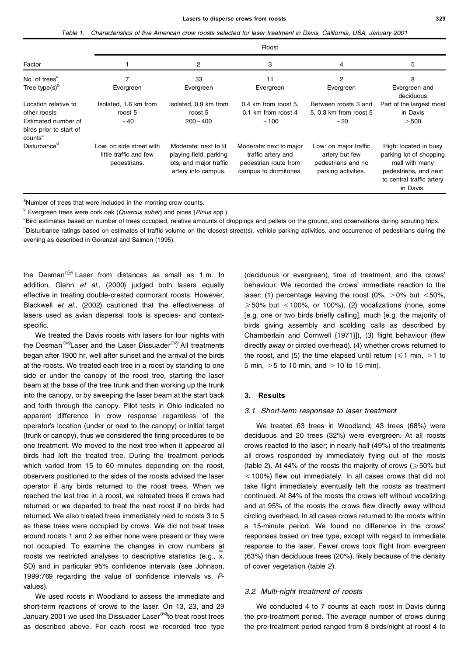#### **Lasers to disperse crows from roosts 329**

|  |  |  | Table 1. Characteristics of five American crow roosts selected for laser treatment in Davis, California, USA, January 2001 |  |  |
|--|--|--|----------------------------------------------------------------------------------------------------------------------------|--|--|
|--|--|--|----------------------------------------------------------------------------------------------------------------------------|--|--|

|                                                                       | Roost                                                              |                                                                                                   |                                                                                                  |                                                                                      |                                                                                                                                       |  |  |  |
|-----------------------------------------------------------------------|--------------------------------------------------------------------|---------------------------------------------------------------------------------------------------|--------------------------------------------------------------------------------------------------|--------------------------------------------------------------------------------------|---------------------------------------------------------------------------------------------------------------------------------------|--|--|--|
| Factor                                                                |                                                                    | 2                                                                                                 | 3                                                                                                | 4                                                                                    | 5                                                                                                                                     |  |  |  |
| No. of trees <sup>a</sup>                                             |                                                                    | 33                                                                                                | 11                                                                                               | 2                                                                                    | 8                                                                                                                                     |  |  |  |
| Tree type $(s)^{b}$                                                   | Evergreen                                                          | Evergreen                                                                                         | Evergreen                                                                                        | Evergreen                                                                            | Evergreen and<br>deciduous                                                                                                            |  |  |  |
| Location relative to                                                  | Isolated, 1.6 km from                                              | Isolated, 0.9 km from                                                                             | 0.4 km from roost 5,                                                                             | Between roosts 3 and                                                                 | Part of the largest roost                                                                                                             |  |  |  |
| other roosts                                                          | roost 5                                                            | roost 5                                                                                           | 0.1 km from roost 4                                                                              | 5, 0.3 km from roost 5                                                               | in Davis                                                                                                                              |  |  |  |
| Estimated number of<br>birds prior to start of<br>counts <sup>c</sup> | $\sim$ 40                                                          | $200 - 400$                                                                                       | $\sim$ 100                                                                                       | $\sim$ 20                                                                            | > 500                                                                                                                                 |  |  |  |
| Disturbance <sup>d</sup>                                              | Low: on side street with<br>little traffic and few<br>pedestrians. | Moderate: next to lit<br>playing field, parking<br>lots, and major traffic<br>artery into campus. | Moderate: next to major<br>traffic artery and<br>pedestrian route from<br>campus to dormitories. | Low: on major traffic<br>artery but few<br>pedestrians and no<br>parking activities. | High: located in busy<br>parking lot of shopping<br>mall with many<br>pedestrians, and next<br>to central traffic artery<br>in Davis. |  |  |  |

<sup>a</sup>Number of trees that were included in the morning crow counts.

<sup>b</sup> Evergreen trees were cork oak (*Quercus suber*) and pines (*Pinus* spp.).

<sup>c</sup>Bird estimates based on number of trees occupied, relative amounts of droppings and pellets on the ground, and observations during scouting trips. <sup>d</sup>Disturbance ratings based on estimates of traffic volume on the closest street(s), vehicle parking activities, and occurrence of pedestrians during the evening as described in Gorenzel and Salmon (1995).

the Desman<sup> $\textcircled{2}$ </sup> Laser from distances as small as 1 m. In addition, Glahn *et al.*, (2000) judged both lasers equally effective in treating double-crested cormorant roosts. However, Blackwell *et al.*, (2002) cautioned that the effectiveness of lasers used as avian dispersal tools is species- and context specific.

We treated the Davis roosts with lasers for four nights with the Desman<sup>@</sup>Laser and the Laser Dissuader<sup>@</sup>. All treatments began after 1900 hr, well after sunset and the arrival of the birds at the roosts. We treated each tree in a roost by standing to one side or under the canopy of the roost tree, starting the laser beam at the base of the tree trunk and then working up the trunk into the canopy, or by sweeping the laser beam at the start back and forth through the canopy. Pilot tests in Ohio indicated no apparent difference in crow response regardless of the operator's location (under or next to the canopy) or initial target (trunk or canopy), thus we considered the firing procedures to be one treatment. We moved to the next tree when it appeared all birds had left the treated tree. During the treatment periods which varied from 15 to 60 minutes depending on the roost, observers positioned to the sides of the roosts advised the laser operator if any birds returned to the roost trees. When we reached the last tree in a roost, we retreated trees if crows had returned or we departed to treat the next roost if no birds had returned. We also treated trees immediately next to roosts 3 to 5 as these trees were occupied by crows. We did not treat trees around roosts 1 and 2 as either none were present or they were not occupied. To examine the changes in crow numbers at roosts we restricted analyses to descriptive statistics (e.g., x, SD) and in particular 95% confidence intervals (see Johnson, 1999:769 regarding the value of confidence intervals vs. *P* values).

We used roosts in Woodland to assess the immediate and short-term reactions of crows to the laser. On 13, 23, and 29 January 2001 we used the Dissuader Laser<sup>®</sup>to treat roost trees as described above. For each roost we recorded tree type

(deciduous or evergreen), time of treatment, and the crows' behaviour. We recorded the crows' immediate reaction to the laser: (1) percentage leaving the roost (0%,  $>0\%$  but  $<50\%$ ,  $\geqslant$  50% but < 100%, or 100%), (2) vocalizations (none, some [e.g. one or two birds briefly calling], much [e.g. the majority of birds giving assembly and scolding calls as described by Chamberlain and Cornwell {1971}]), (3) flight behaviour (flew directly away or circled overhead), (4) whether crows returned to the roost, and (5) the time elapsed until return ( $\leq 1$  min,  $> 1$  to 5 min,  $>$  5 to 10 min, and  $>$  10 to 15 min).

## **3. Results**

#### *3.1. Short-term responses to laser treatment*

We treated 63 trees in Woodland; 43 trees (68%) were deciduous and 20 trees (32%) were evergreen. At all roosts crows reacted to the laser; in nearly half (49%) of the treatments all crows responded by immediately flying out of the roosts (table 2). At 44% of the roosts the majority of crows ( $\geq 50\%$  but  $5100\%$ ) flew out immediately. In all cases crows that did not take flight immediately eventually left the roosts as treatment continued. At 84% of the roosts the crows left without vocalizing and at 95% of the roosts the crows flew directly away without circling overhead. In all cases crows returned to the roosts within a 15-minute period. We found no difference in the crows' responses based on tree type, except with regard to immediate response to the laser. Fewer crows took flight from evergreen (63%) than deciduous trees (20%), likely because of the density of cover vegetation (table 2).

### *3.2. Multi-night treatment of roosts*

We conducted 4 to 7 counts at each roost in Davis during the pre-treatment period. The average number of crows during the pre-treatment period ranged from 8 birds/night at roost 4 to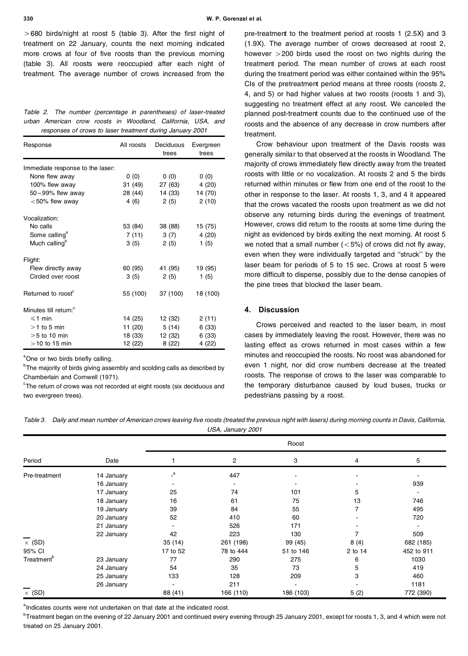**330 W. P. Gorenzel et al.**

 $>680$  birds/night at roost 5 (table 3). After the first night of treatment on 22 January, counts the next morning indicated more crows at four of five roosts than the previous morning (table 3). All roosts were reoccupied after each night of treatment. The average number of crows increased from the

|                                                           |  |  |  | Table 2. The number (percentage in parentheses) of laser-treated |  |                                                              |  |  |  |  |
|-----------------------------------------------------------|--|--|--|------------------------------------------------------------------|--|--------------------------------------------------------------|--|--|--|--|
|                                                           |  |  |  |                                                                  |  | urban American crow roosts in Woodland. California. USA. and |  |  |  |  |
| responses of crows to laser treatment during January 2001 |  |  |  |                                                                  |  |                                                              |  |  |  |  |

| Response                          | All roosts | Deciduous<br>trees | Evergreen<br>trees |  |  |
|-----------------------------------|------------|--------------------|--------------------|--|--|
| Immediate response to the laser:  |            |                    |                    |  |  |
| None flew away                    | 0(0)       | 0(0)               | 0(0)               |  |  |
| 100% flew away                    | 31 (49)    | 27 (63)            | 4 (20)             |  |  |
| $50 - 99\%$ flew away             | 28 (44)    | 14 (33)            | 14 (70)            |  |  |
| $<$ 50% flew away                 | 4(6)       | 2(5)               | 2(10)              |  |  |
| Vocalization:                     |            |                    |                    |  |  |
| No calls                          | 53 (84)    | 38 (88)            | 15 (75)            |  |  |
| Some calling <sup>a</sup>         | 7(11)      | 3 (7)              | 4(20)              |  |  |
| Much calling <sup>b</sup>         | 3(5)       | 2(5)               | 1(5)               |  |  |
| Flight:                           |            |                    |                    |  |  |
| Flew directly away                | 60 (95)    | 41 (95)            | 19 (95)            |  |  |
| Circled over roost                | 3(5)       | 2(5)               | 1(5)               |  |  |
| Returned to roost <sup>c</sup>    | 55 (100)   | 37 (100)           | 18 (100)           |  |  |
| Minutes till return: <sup>c</sup> |            |                    |                    |  |  |
| $\leq 1$ min                      | 14 (25)    | 12 (32)            | 2(11)              |  |  |
| $>1$ to 5 min                     | 11 (20)    | 5 (14)             | 6(33)              |  |  |
| $>5$ to 10 min                    | 18 (33)    | 12 (32)            | 6(33)              |  |  |
| $>10$ to 15 min                   | 12 (22)    | 8(22)              | 4 (22)             |  |  |

<sup>a</sup>One or two birds briefly calling.

 $b$ The majority of birds giving assembly and scolding calls as described by Chamberlain and Cornwell (1971).

 $\textdegree$ The return of crows was not recorded at eight roosts (six deciduous and two evergreen trees).

pre-treatment to the treatment period at roosts 1 (2.5X) and 3 (1.9X). The average number of crows decreased at roost 2, however > 200 birds used the roost on two nights during the treatment period. The mean number of crows at each roost during the treatment period was either contained within the 95% CIs of the pretreatment period means at three roosts (roosts 2, 4, and 5) or had higher values at two roosts (roosts 1 and 3), suggesting no treatment effect at any roost. We canceled the planned post-treatment counts due to the continued use of the roosts and the absence of any decrease in crow numbers after treatment.

Crow behaviour upon treatment of the Davis roosts was generally similar to that observed at the roosts in Woodland. The majority of crows immediately flew directly away from the treated roosts with little or no vocalization. At roosts 2 and 5 the birds returned within minutes or flew from one end of the roost to the other in response to the laser. At roosts 1, 3, and 4 it appeared that the crows vacated the roosts upon treatment as we did not observe any returning birds during the evenings of treatment. However, crows did return to the roosts at some time during the night as evidenced by birds exiting the next morning. At roost 5 we noted that a small number  $(<5\%)$  of crows did not fly away, even when they were individually targeted and "struck" by the laser beam for periods of 5 to 15 sec. Crows at roost 5 were more difficult to disperse, possibly due to the dense canopies of the pine trees that blocked the laser beam.

## **4. Discussion**

Crows perceived and reacted to the laser beam, in most cases by immediately leaving the roost. However, there was no lasting effect as crows returned in most cases within a few minutes and reoccupied the roosts. No roost was abandoned for even 1 night, nor did crow numbers decrease at the treated roosts. The response of crows to the laser was comparable to the temporary disturbance caused by loud buses, trucks or pedestrians passing by a roost.

Table 3. Daily and mean number of American crows leaving five roosts (treated the previous night with lasers) during morning counts in Davis, California, *USA, January 2001*

| Period                 | Date       |           | 2         | 3                        | 4       | 5          |
|------------------------|------------|-----------|-----------|--------------------------|---------|------------|
| Pre-treatment          | 14 January | $\cdot^a$ | 447       |                          |         |            |
|                        | 16 January |           |           |                          |         | 939        |
|                        | 17 January | 25        | 74        | 101                      | 5       |            |
|                        | 18 January | 16        | 61        | 75                       | 13      | 746        |
|                        | 19 January | 39        | 84        | 55                       |         | 495        |
|                        | 20 January | 52        | 410       | 60                       |         | 720        |
|                        | 21 January |           | 526       | 171                      |         |            |
|                        | 22 January | 42        | 223       | 130                      |         | 509        |
| $\times$ (SD)          |            | 35(14)    | 261 (198) | 99 (45)                  | 8(4)    | 682 (185)  |
| 95% CI                 |            | 17 to 52  | 78 to 444 | 51 to 146                | 2 to 14 | 452 to 911 |
| Treatment <sup>b</sup> | 23 January | 77        | 290       | 275                      | 6       | 1030       |
|                        | 24 January | 54        | 35        | 73                       | 5       | 419        |
|                        | 25 January | 133       | 128       | 209                      | 3       | 460        |
|                        | 26 January |           | 211       | $\overline{\phantom{a}}$ |         | 1181       |
| $\times$ (SD)          |            | 88 (41)   | 166 (110) | 186 (103)                | 5(2)    | 772 (390)  |

<sup>a</sup>Indicates counts were not undertaken on that date at the indicated roost.

 $b$ Treatment began on the evening of 22 January 2001 and continued every evening through 25 January 2001, except for roosts 1, 3, and 4 which were not treated on 25 January 2001.